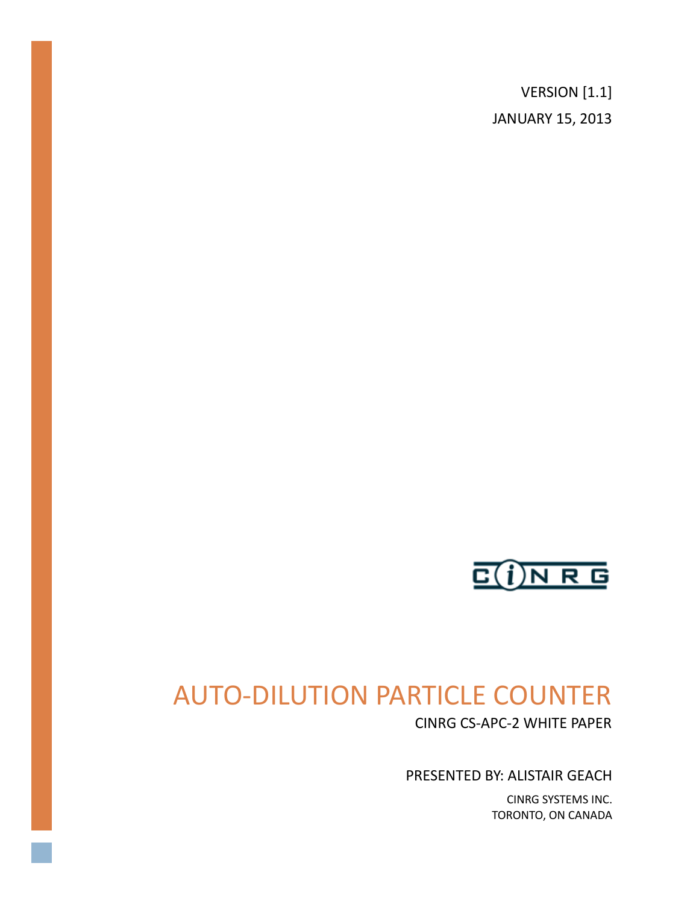VERSION [1.1] JANUARY 15, 2013



# AUTO-DILUTION PARTICLE COUNTER

CINRG CS-APC-2 WHITE PAPER

PRESENTED BY: ALISTAIR GEACH

CINRG SYSTEMS INC. TORONTO, ON CANADA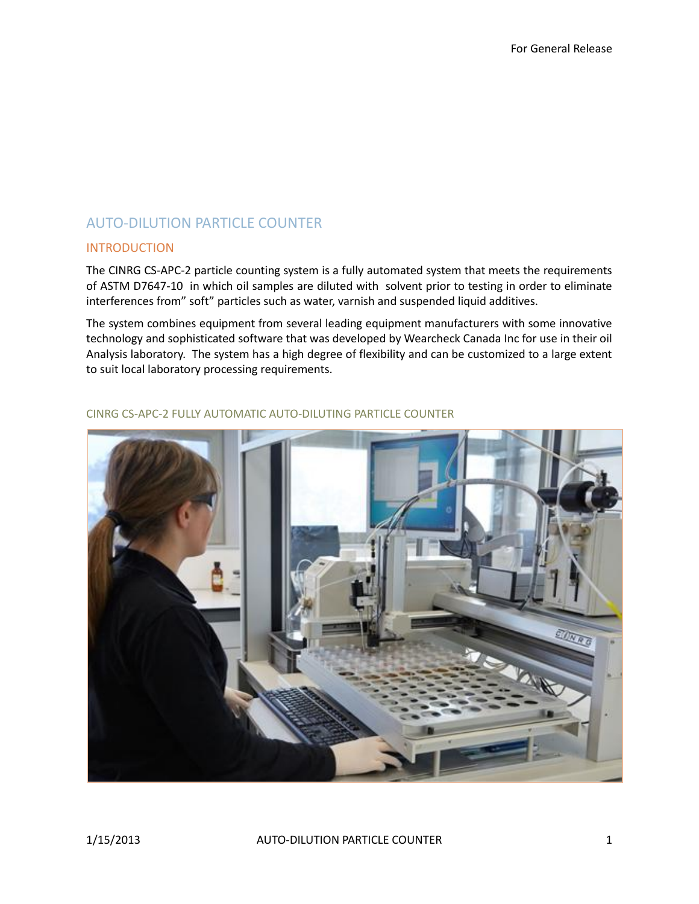## AUTO-DILUTION PARTICLE COUNTER

## INTRODUCTION

The CINRG CS-APC-2 particle counting system is a fully automated system that meets the requirements of ASTM D7647-10 in which oil samples are diluted with solvent prior to testing in order to eliminate interferences from" soft" particles such as water, varnish and suspended liquid additives.

The system combines equipment from several leading equipment manufacturers with some innovative technology and sophisticated software that was developed by Wearcheck Canada Inc for use in their oil Analysis laboratory. The system has a high degree of flexibility and can be customized to a large extent to suit local laboratory processing requirements.



#### CINRG CS-APC-2 FULLY AUTOMATIC AUTO-DILUTING PARTICLE COUNTER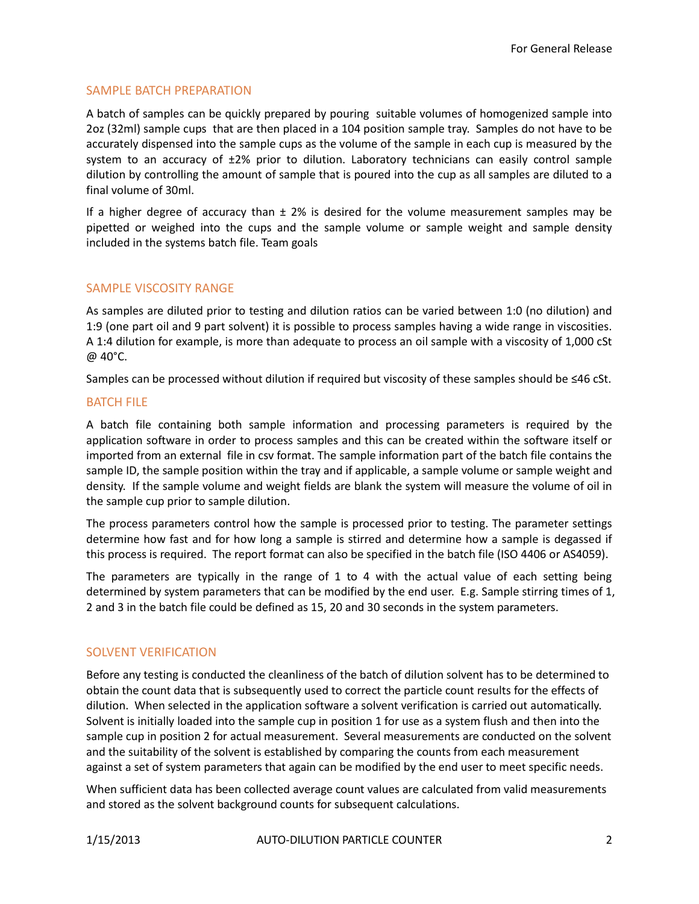## SAMPLE BATCH PREPARATION

A batch of samples can be quickly prepared by pouring suitable volumes of homogenized sample into 2oz (32ml) sample cups that are then placed in a 104 position sample tray. Samples do not have to be accurately dispensed into the sample cups as the volume of the sample in each cup is measured by the system to an accuracy of  $\pm 2\%$  prior to dilution. Laboratory technicians can easily control sample dilution by controlling the amount of sample that is poured into the cup as all samples are diluted to a final volume of 30ml.

If a higher degree of accuracy than  $\pm$  2% is desired for the volume measurement samples may be pipetted or weighed into the cups and the sample volume or sample weight and sample density included in the systems batch file. Team goals

## SAMPLE VISCOSITY RANGE

As samples are diluted prior to testing and dilution ratios can be varied between 1:0 (no dilution) and 1:9 (one part oil and 9 part solvent) it is possible to process samples having a wide range in viscosities. A 1:4 dilution for example, is more than adequate to process an oil sample with a viscosity of 1,000 cSt @ 40°C.

Samples can be processed without dilution if required but viscosity of these samples should be ≤46 cSt.

#### BATCH FILE

A batch file containing both sample information and processing parameters is required by the application software in order to process samples and this can be created within the software itself or imported from an external file in csv format. The sample information part of the batch file contains the sample ID, the sample position within the tray and if applicable, a sample volume or sample weight and density. If the sample volume and weight fields are blank the system will measure the volume of oil in the sample cup prior to sample dilution.

The process parameters control how the sample is processed prior to testing. The parameter settings determine how fast and for how long a sample is stirred and determine how a sample is degassed if this process is required. The report format can also be specified in the batch file (ISO 4406 or AS4059).

The parameters are typically in the range of 1 to 4 with the actual value of each setting being determined by system parameters that can be modified by the end user. E.g. Sample stirring times of 1, 2 and 3 in the batch file could be defined as 15, 20 and 30 seconds in the system parameters.

## SOLVENT VERIFICATION

Before any testing is conducted the cleanliness of the batch of dilution solvent has to be determined to obtain the count data that is subsequently used to correct the particle count results for the effects of dilution. When selected in the application software a solvent verification is carried out automatically. Solvent is initially loaded into the sample cup in position 1 for use as a system flush and then into the sample cup in position 2 for actual measurement. Several measurements are conducted on the solvent and the suitability of the solvent is established by comparing the counts from each measurement against a set of system parameters that again can be modified by the end user to meet specific needs.

When sufficient data has been collected average count values are calculated from valid measurements and stored as the solvent background counts for subsequent calculations.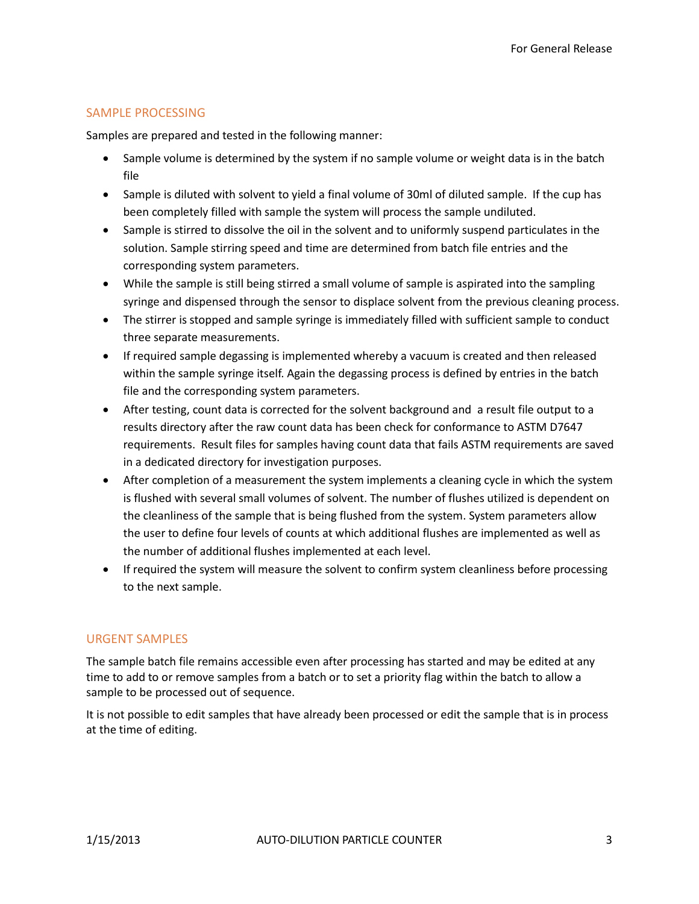## SAMPLE PROCESSING

Samples are prepared and tested in the following manner:

- Sample volume is determined by the system if no sample volume or weight data is in the batch file
- Sample is diluted with solvent to yield a final volume of 30ml of diluted sample. If the cup has been completely filled with sample the system will process the sample undiluted.
- Sample is stirred to dissolve the oil in the solvent and to uniformly suspend particulates in the solution. Sample stirring speed and time are determined from batch file entries and the corresponding system parameters.
- While the sample is still being stirred a small volume of sample is aspirated into the sampling syringe and dispensed through the sensor to displace solvent from the previous cleaning process.
- The stirrer is stopped and sample syringe is immediately filled with sufficient sample to conduct three separate measurements.
- If required sample degassing is implemented whereby a vacuum is created and then released within the sample syringe itself. Again the degassing process is defined by entries in the batch file and the corresponding system parameters.
- After testing, count data is corrected for the solvent background and a result file output to a results directory after the raw count data has been check for conformance to ASTM D7647 requirements. Result files for samples having count data that fails ASTM requirements are saved in a dedicated directory for investigation purposes.
- After completion of a measurement the system implements a cleaning cycle in which the system is flushed with several small volumes of solvent. The number of flushes utilized is dependent on the cleanliness of the sample that is being flushed from the system. System parameters allow the user to define four levels of counts at which additional flushes are implemented as well as the number of additional flushes implemented at each level.
- If required the system will measure the solvent to confirm system cleanliness before processing to the next sample.

## URGENT SAMPLES

The sample batch file remains accessible even after processing has started and may be edited at any time to add to or remove samples from a batch or to set a priority flag within the batch to allow a sample to be processed out of sequence.

It is not possible to edit samples that have already been processed or edit the sample that is in process at the time of editing.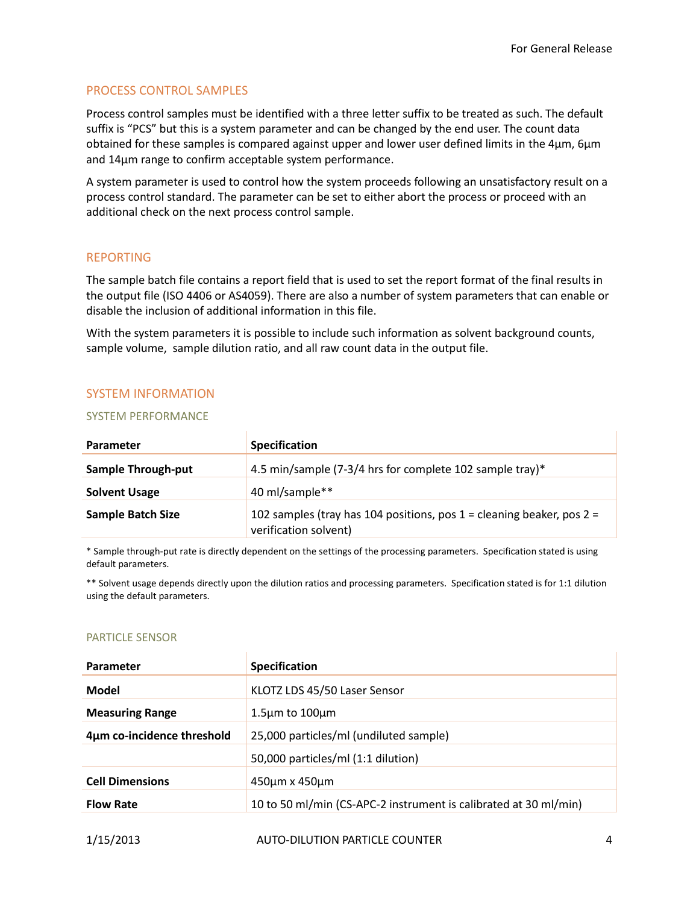## PROCESS CONTROL SAMPLES

Process control samples must be identified with a three letter suffix to be treated as such. The default suffix is "PCS" but this is a system parameter and can be changed by the end user. The count data obtained for these samples is compared against upper and lower user defined limits in the 4µm, 6µm and 14µm range to confirm acceptable system performance.

A system parameter is used to control how the system proceeds following an unsatisfactory result on a process control standard. The parameter can be set to either abort the process or proceed with an additional check on the next process control sample.

## REPORTING

The sample batch file contains a report field that is used to set the report format of the final results in the output file (ISO 4406 or AS4059). There are also a number of system parameters that can enable or disable the inclusion of additional information in this file.

With the system parameters it is possible to include such information as solvent background counts, sample volume, sample dilution ratio, and all raw count data in the output file.

## SYSTEM INFORMATION

#### SYSTEM PERFORMANCE

| Parameter                 | <b>Specification</b>                                                                               |
|---------------------------|----------------------------------------------------------------------------------------------------|
| <b>Sample Through-put</b> | 4.5 min/sample (7-3/4 hrs for complete 102 sample tray)*                                           |
| <b>Solvent Usage</b>      | 40 ml/sample**                                                                                     |
| <b>Sample Batch Size</b>  | 102 samples (tray has 104 positions, pos $1 =$ cleaning beaker, pos $2 =$<br>verification solvent) |

\* Sample through-put rate is directly dependent on the settings of the processing parameters. Specification stated is using default parameters.

\*\* Solvent usage depends directly upon the dilution ratios and processing parameters. Specification stated is for 1:1 dilution using the default parameters.

#### PARTICLE SENSOR

| Parameter                  | <b>Specification</b>                                             |
|----------------------------|------------------------------------------------------------------|
| <b>Model</b>               | KLOTZ LDS 45/50 Laser Sensor                                     |
| <b>Measuring Range</b>     | $1.5 \mu m$ to $100 \mu m$                                       |
| 4µm co-incidence threshold | 25,000 particles/ml (undiluted sample)                           |
|                            | 50,000 particles/ml (1:1 dilution)                               |
| <b>Cell Dimensions</b>     | 450um x 450um                                                    |
| <b>Flow Rate</b>           | 10 to 50 ml/min (CS-APC-2 instrument is calibrated at 30 ml/min) |
|                            |                                                                  |